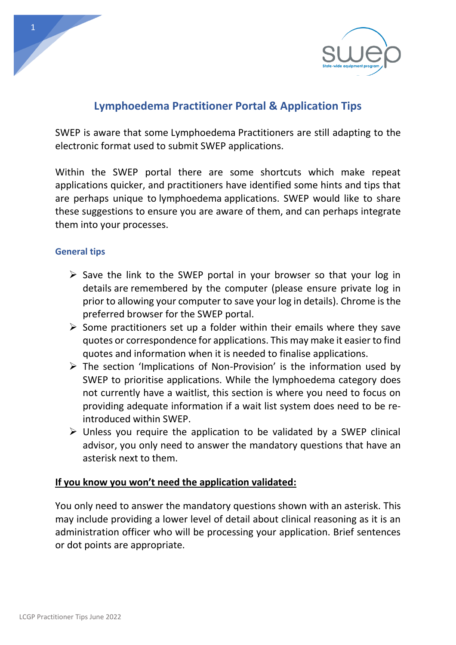

# **Lymphoedema Practitioner Portal & Application Tips**

SWEP is aware that some Lymphoedema Practitioners are still adapting to the electronic format used to submit SWEP applications.

Within the SWEP portal there are some shortcuts which make repeat applications quicker, and practitioners have identified some hints and tips that are perhaps unique to lymphoedema applications. SWEP would like to share these suggestions to ensure you are aware of them, and can perhaps integrate them into your processes.

## **General tips**

- ➢ Save the link to the SWEP portal in your browser so that your log in details are remembered by the computer (please ensure private log in prior to allowing your computer to save your log in details). Chrome is the preferred browser for the SWEP portal.
- $\triangleright$  Some practitioners set up a folder within their emails where they save quotes or correspondence for applications. This may make it easier to find quotes and information when it is needed to finalise applications.
- $\triangleright$  The section 'Implications of Non-Provision' is the information used by SWEP to prioritise applications. While the lymphoedema category does not currently have a waitlist, this section is where you need to focus on providing adequate information if a wait list system does need to be reintroduced within SWEP.
- ➢ Unless you require the application to be validated by a SWEP clinical advisor, you only need to answer the mandatory questions that have an asterisk next to them.

## **If you know you won't need the application validated:**

You only need to answer the mandatory questions shown with an asterisk. This may include providing a lower level of detail about clinical reasoning as it is an administration officer who will be processing your application. Brief sentences or dot points are appropriate.

1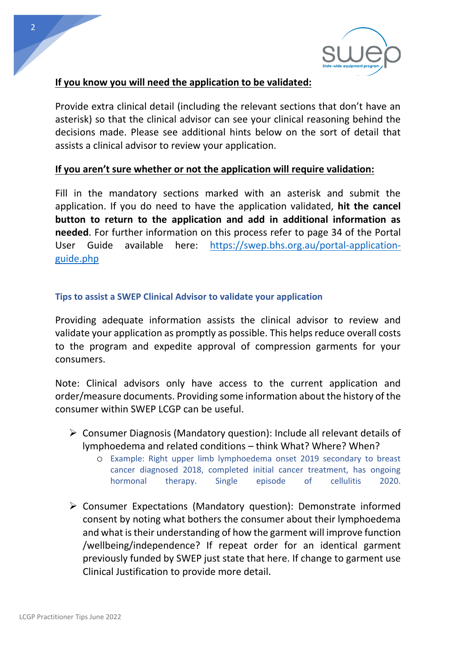

## **If you know you will need the application to be validated:**

Provide extra clinical detail (including the relevant sections that don't have an asterisk) so that the clinical advisor can see your clinical reasoning behind the decisions made. Please see additional hints below on the sort of detail that assists a clinical advisor to review your application.

## **If you aren't sure whether or not the application will require validation:**

Fill in the mandatory sections marked with an asterisk and submit the application. If you do need to have the application validated, **hit the cancel button to return to the application and add in additional information as needed**. For further information on this process refer to page 34 of the Portal User Guide available here: [https://swep.bhs.org.au/portal-application](https://swep.bhs.org.au/portal-application-guide.php)[guide.php](https://swep.bhs.org.au/portal-application-guide.php)

#### **Tips to assist a SWEP Clinical Advisor to validate your application**

Providing adequate information assists the clinical advisor to review and validate your application as promptly as possible. This helps reduce overall costs to the program and expedite approval of compression garments for your consumers.

Note: Clinical advisors only have access to the current application and order/measure documents. Providing some information about the history of the consumer within SWEP LCGP can be useful.

- ➢ Consumer Diagnosis (Mandatory question): Include all relevant details of lymphoedema and related conditions – think What? Where? When?
	- o Example: Right upper limb lymphoedema onset 2019 secondary to breast cancer diagnosed 2018, completed initial cancer treatment, has ongoing hormonal therapy. Single episode of cellulitis 2020.
- ➢ Consumer Expectations (Mandatory question): Demonstrate informed consent by noting what bothers the consumer about their lymphoedema and what is their understanding of how the garment will improve function /wellbeing/independence? If repeat order for an identical garment previously funded by SWEP just state that here. If change to garment use Clinical Justification to provide more detail.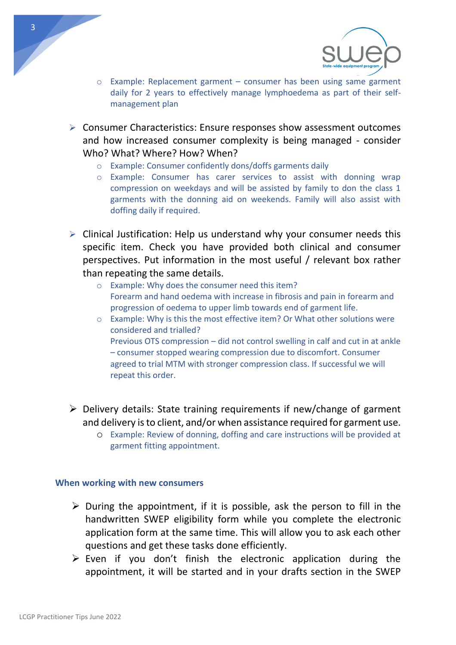



- $\circ$  Example: Replacement garment consumer has been using same garment daily for 2 years to effectively manage lymphoedema as part of their selfmanagement plan
- ➢ Consumer Characteristics: Ensure responses show assessment outcomes and how increased consumer complexity is being managed - consider Who? What? Where? How? When?
	- o Example: Consumer confidently dons/doffs garments daily
	- o Example: Consumer has carer services to assist with donning wrap compression on weekdays and will be assisted by family to don the class 1 garments with the donning aid on weekends. Family will also assist with doffing daily if required.
- $\triangleright$  Clinical Justification: Help us understand why your consumer needs this specific item. Check you have provided both clinical and consumer perspectives. Put information in the most useful / relevant box rather than repeating the same details.
	- o Example: Why does the consumer need this item? Forearm and hand oedema with increase in fibrosis and pain in forearm and progression of oedema to upper limb towards end of garment life.
	- o Example: Why is this the most effective item? Or What other solutions were considered and trialled? Previous OTS compression – did not control swelling in calf and cut in at ankle – consumer stopped wearing compression due to discomfort. Consumer agreed to trial MTM with stronger compression class. If successful we will repeat this order.
- ➢ Delivery details: State training requirements if new/change of garment and delivery is to client, and/or when assistance required for garment use.
	- o Example: Review of donning, doffing and care instructions will be provided at garment fitting appointment.

#### **When working with new consumers**

- $\triangleright$  During the appointment, if it is possible, ask the person to fill in the handwritten SWEP eligibility form while you complete the electronic application form at the same time. This will allow you to ask each other questions and get these tasks done efficiently.
- $\triangleright$  Even if you don't finish the electronic application during the appointment, it will be started and in your drafts section in the SWEP